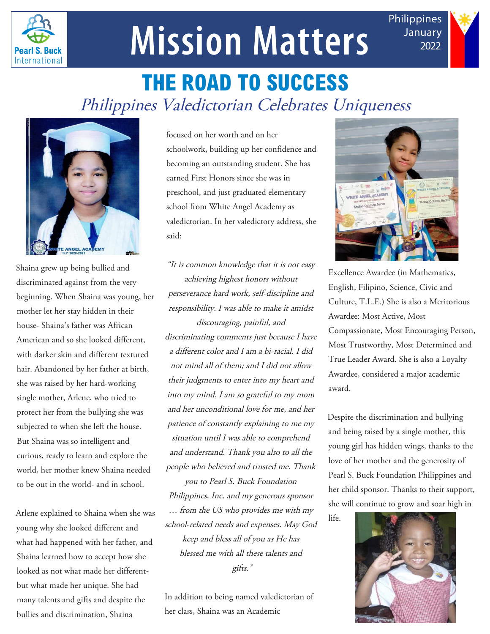

## **Mission Matters**

**THE ROAD TO SUCCESS** Philippines Valedictorian Celebrates Uniqueness



Shaina grew up being bullied and discriminated against from the very beginning. When Shaina was young, her mother let her stay hidden in their house- Shaina's father was African American and so she looked different, with darker skin and different textured hair. Abandoned by her father at birth, she was raised by her hard-working single mother, Arlene, who tried to protect her from the bullying she was subjected to when she left the house. But Shaina was so intelligent and curious, ready to learn and explore the world, her mother knew Shaina needed to be out in the world- and in school.

Arlene explained to Shaina when she was young why she looked different and what had happened with her father, and Shaina learned how to accept how she looked as not what made her differentbut what made her unique. She had many talents and gifts and despite the bullies and discrimination, Shaina

focused on her worth and on her schoolwork, building up her confidence and becoming an outstanding student. She has earned First Honors since she was in preschool, and just graduated elementary school from White Angel Academy as valedictorian. In her valedictory address, she said:

"It is common knowledge that it is not easy achieving highest honors without perseverance hard work, self-discipline and responsibility. I was able to make it amidst discouraging, painful, and discriminating comments just because I have a different color and I am a bi-racial. I did not mind all of them; and I did not allow their judgments to enter into my heart and into my mind. I am so grateful to my mom and her unconditional love for me, and her patience of constantly explaining to me my situation until I was able to comprehend and understand. Thank you also to all the people who believed and trusted me. Thank you to Pearl S. Buck Foundation Philippines, Inc. and my generous sponsor … from the US who provides me with my school-related needs and expenses. May God keep and bless all of you as He has blessed me with all these talents and gifts."

In addition to being named valedictorian of her class, Shaina was an Academic



Philippines January 2022

Excellence Awardee (in Mathematics, English, Filipino, Science, Civic and Culture, T.L.E.) She is also a Meritorious Awardee: Most Active, Most Compassionate, Most Encouraging Person, Most Trustworthy, Most Determined and True Leader Award. She is also a Loyalty Awardee, considered a major academic award.

Despite the discrimination and bullying and being raised by a single mother, this young girl has hidden wings, thanks to the love of her mother and the generosity of Pearl S. Buck Foundation Philippines and her child sponsor. Thanks to their support, she will continue to grow and soar high in

life.